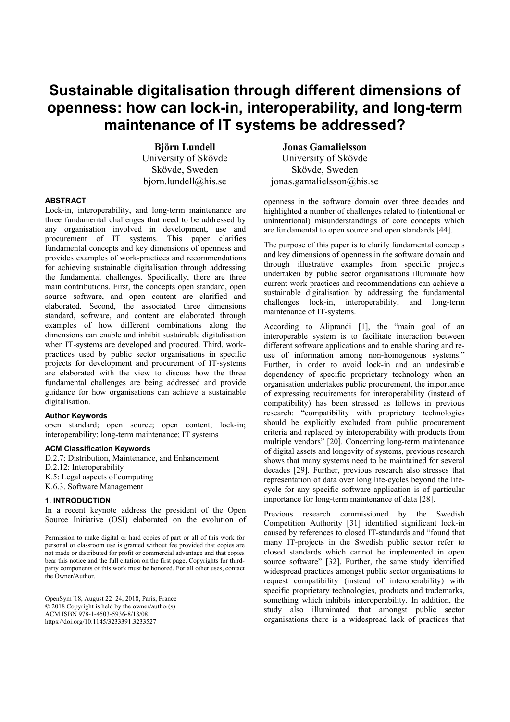# **Sustainable digitalisation through different dimensions of openness: how can lock-in, interoperability, and long-term maintenance of IT systems be addressed?**

**Björn Lundell**  University of Skövde Skövde, Sweden bjorn.lundell@his.se

**ABSTRACT** 

Lock-in, interoperability, and long-term maintenance are three fundamental challenges that need to be addressed by any organisation involved in development, use and procurement of IT systems. This paper clarifies fundamental concepts and key dimensions of openness and provides examples of work-practices and recommendations for achieving sustainable digitalisation through addressing the fundamental challenges. Specifically, there are three main contributions. First, the concepts open standard, open source software, and open content are clarified and elaborated. Second, the associated three dimensions standard, software, and content are elaborated through examples of how different combinations along the dimensions can enable and inhibit sustainable digitalisation when IT-systems are developed and procured. Third, workpractices used by public sector organisations in specific projects for development and procurement of IT-systems are elaborated with the view to discuss how the three fundamental challenges are being addressed and provide guidance for how organisations can achieve a sustainable digitalisation.

## **Author Keywords**

open standard; open source; open content; lock-in; interoperability; long-term maintenance; IT systems

#### **ACM Classification Keywords**

D.2.7: Distribution, Maintenance, and Enhancement D.2.12: Interoperability K.5: Legal aspects of computing K.6.3. Software Management

#### **1. INTRODUCTION**

In a recent keynote address the president of the Open Source Initiative (OSI) elaborated on the evolution of

Permission to make digital or hard copies of part or all of this work for personal or classroom use is granted without fee provided that copies are not made or distributed for profit or commercial advantage and that copies bear this notice and the full citation on the first page. Copyrights for thirdparty components of this work must be honored. For all other uses, contact the Owner/Author.

OpenSym '18, August 22–24, 2018, Paris, France © 2018 Copyright is held by the owner/author(s). ACM ISBN 978-1-4503-5936-8/18/08. https://doi.org/10.1145/3233391.3233527

**Jonas Gamalielsson**  University of Skövde Skövde, Sweden jonas.gamalielsson@his.se

openness in the software domain over three decades and highlighted a number of challenges related to (intentional or unintentional) misunderstandings of core concepts which are fundamental to open source and open standards [44].

The purpose of this paper is to clarify fundamental concepts and key dimensions of openness in the software domain and through illustrative examples from specific projects undertaken by public sector organisations illuminate how current work-practices and recommendations can achieve a sustainable digitalisation by addressing the fundamental challenges lock-in, interoperability, and long-term maintenance of IT-systems.

According to Aliprandi [1], the "main goal of an interoperable system is to facilitate interaction between different software applications and to enable sharing and reuse of information among non-homogenous systems." Further, in order to avoid lock-in and an undesirable dependency of specific proprietary technology when an organisation undertakes public procurement, the importance of expressing requirements for interoperability (instead of compatibility) has been stressed as follows in previous research: "compatibility with proprietary technologies should be explicitly excluded from public procurement criteria and replaced by interoperability with products from multiple vendors" [20]. Concerning long-term maintenance of digital assets and longevity of systems, previous research shows that many systems need to be maintained for several decades [29]. Further, previous research also stresses that representation of data over long life-cycles beyond the lifecycle for any specific software application is of particular importance for long-term maintenance of data [28].

Previous research commissioned by the Swedish Competition Authority [31] identified significant lock-in caused by references to closed IT-standards and "found that many IT-projects in the Swedish public sector refer to closed standards which cannot be implemented in open source software" [32]. Further, the same study identified widespread practices amongst public sector organisations to request compatibility (instead of interoperability) with specific proprietary technologies, products and trademarks, something which inhibits interoperability. In addition, the study also illuminated that amongst public sector organisations there is a widespread lack of practices that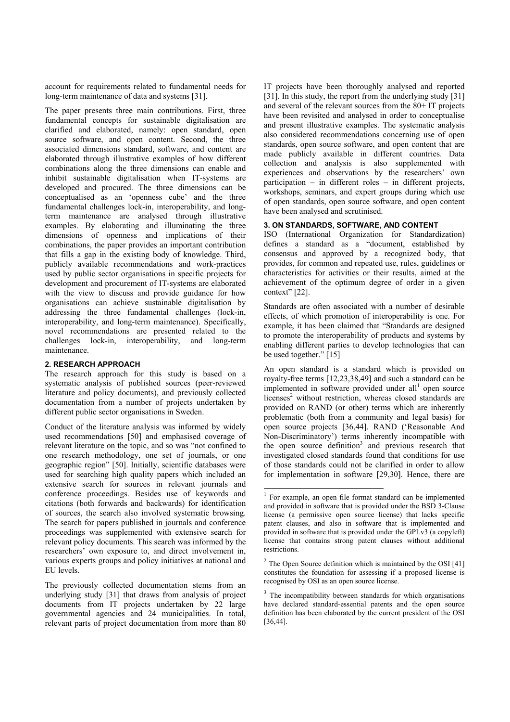account for requirements related to fundamental needs for long-term maintenance of data and systems [31].

The paper presents three main contributions. First, three fundamental concepts for sustainable digitalisation are clarified and elaborated, namely: open standard, open source software, and open content. Second, the three associated dimensions standard, software, and content are elaborated through illustrative examples of how different combinations along the three dimensions can enable and inhibit sustainable digitalisation when IT-systems are developed and procured. The three dimensions can be conceptualised as an 'openness cube' and the three fundamental challenges lock-in, interoperability, and longterm maintenance are analysed through illustrative examples. By elaborating and illuminating the three dimensions of openness and implications of their combinations, the paper provides an important contribution that fills a gap in the existing body of knowledge. Third, publicly available recommendations and work-practices used by public sector organisations in specific projects for development and procurement of IT-systems are elaborated with the view to discuss and provide guidance for how organisations can achieve sustainable digitalisation by addressing the three fundamental challenges (lock-in, interoperability, and long-term maintenance). Specifically, novel recommendations are presented related to the challenges lock-in, interoperability, and long-term maintenance.

# **2. RESEARCH APPROACH**

The research approach for this study is based on a systematic analysis of published sources (peer-reviewed literature and policy documents), and previously collected documentation from a number of projects undertaken by different public sector organisations in Sweden.

Conduct of the literature analysis was informed by widely used recommendations [50] and emphasised coverage of relevant literature on the topic, and so was "not confined to one research methodology, one set of journals, or one geographic region" [50]. Initially, scientific databases were used for searching high quality papers which included an extensive search for sources in relevant journals and conference proceedings. Besides use of keywords and citations (both forwards and backwards) for identification of sources, the search also involved systematic browsing. The search for papers published in journals and conference proceedings was supplemented with extensive search for relevant policy documents. This search was informed by the researchers' own exposure to, and direct involvement in, various experts groups and policy initiatives at national and EU levels.

The previously collected documentation stems from an underlying study [31] that draws from analysis of project documents from IT projects undertaken by 22 large governmental agencies and 24 municipalities. In total, relevant parts of project documentation from more than 80 IT projects have been thoroughly analysed and reported [31]. In this study, the report from the underlying study [31] and several of the relevant sources from the 80+ IT projects have been revisited and analysed in order to conceptualise and present illustrative examples. The systematic analysis also considered recommendations concerning use of open standards, open source software, and open content that are made publicly available in different countries. Data collection and analysis is also supplemented with experiences and observations by the researchers' own participation – in different roles – in different projects, workshops, seminars, and expert groups during which use of open standards, open source software, and open content have been analysed and scrutinised.

## **3. ON STANDARDS, SOFTWARE, AND CONTENT**

ISO (International Organization for Standardization) defines a standard as a "document, established by consensus and approved by a recognized body, that provides, for common and repeated use, rules, guidelines or characteristics for activities or their results, aimed at the achievement of the optimum degree of order in a given context" [22].

Standards are often associated with a number of desirable effects, of which promotion of interoperability is one. For example, it has been claimed that "Standards are designed to promote the interoperability of products and systems by enabling different parties to develop technologies that can be used together." [15]

An open standard is a standard which is provided on royalty-free terms [12,23,38,49] and such a standard can be implemented in software provided under  $all<sup>1</sup>$  open source licenses<sup>2</sup> without restriction, whereas closed standards are provided on RAND (or other) terms which are inherently problematic (both from a community and legal basis) for open source projects [36,44]. RAND ('Reasonable And Non-Discriminatory') terms inherently incompatible with the open source definition<sup>3</sup> and previous research that investigated closed standards found that conditions for use of those standards could not be clarified in order to allow for implementation in software [29,30]. Hence, there are

1

<sup>&</sup>lt;sup>1</sup> For example, an open file format standard can be implemented and provided in software that is provided under the BSD 3-Clause license (a permissive open source license) that lacks specific patent clauses, and also in software that is implemented and provided in software that is provided under the GPLv3 (a copyleft) license that contains strong patent clauses without additional restrictions.

 $2$  The Open Source definition which is maintained by the OSI [41] constitutes the foundation for assessing if a proposed license is recognised by OSI as an open source license.

 $3$  The incompatibility between standards for which organisations have declared standard-essential patents and the open source definition has been elaborated by the current president of the OSI [36,44].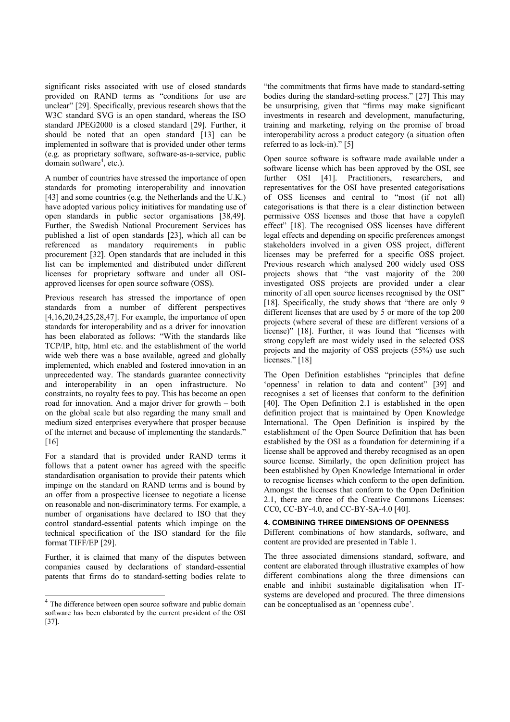significant risks associated with use of closed standards provided on RAND terms as "conditions for use are unclear" [29]. Specifically, previous research shows that the W3C standard SVG is an open standard, whereas the ISO standard JPEG2000 is a closed standard [29]. Further, it should be noted that an open standard [13] can be implemented in software that is provided under other terms (e.g. as proprietary software, software-as-a-service, public domain software<sup>4</sup>, etc.).

A number of countries have stressed the importance of open standards for promoting interoperability and innovation [43] and some countries (e.g. the Netherlands and the U.K.) have adopted various policy initiatives for mandating use of open standards in public sector organisations [38,49]. Further, the Swedish National Procurement Services has published a list of open standards [23], which all can be referenced as mandatory requirements in public procurement [32]. Open standards that are included in this list can be implemented and distributed under different licenses for proprietary software and under all OSIapproved licenses for open source software (OSS).

Previous research has stressed the importance of open standards from a number of different perspectives [4,16,20,24,25,28,47]. For example, the importance of open standards for interoperability and as a driver for innovation has been elaborated as follows: "With the standards like TCP/IP, http, html etc. and the establishment of the world wide web there was a base available, agreed and globally implemented, which enabled and fostered innovation in an unprecedented way. The standards guarantee connectivity and interoperability in an open infrastructure. No constraints, no royalty fees to pay. This has become an open road for innovation. And a major driver for growth – both on the global scale but also regarding the many small and medium sized enterprises everywhere that prosper because of the internet and because of implementing the standards." [16]

For a standard that is provided under RAND terms it follows that a patent owner has agreed with the specific standardisation organisation to provide their patents which impinge on the standard on RAND terms and is bound by an offer from a prospective licensee to negotiate a license on reasonable and non-discriminatory terms. For example, a number of organisations have declared to ISO that they control standard-essential patents which impinge on the technical specification of the ISO standard for the file format TIFF/EP [29].

Further, it is claimed that many of the disputes between companies caused by declarations of standard-essential patents that firms do to standard-setting bodies relate to

1

"the commitments that firms have made to standard-setting bodies during the standard-setting process." [27] This may be unsurprising, given that "firms may make significant investments in research and development, manufacturing, training and marketing, relying on the promise of broad interoperability across a product category (a situation often referred to as lock-in)." [5]

Open source software is software made available under a software license which has been approved by the OSI, see further OSI [41]. Practitioners, researchers, and representatives for the OSI have presented categorisations of OSS licenses and central to "most (if not all) categorisations is that there is a clear distinction between permissive OSS licenses and those that have a copyleft effect" [18]. The recognised OSS licenses have different legal effects and depending on specific preferences amongst stakeholders involved in a given OSS project, different licenses may be preferred for a specific OSS project. Previous research which analysed 200 widely used OSS projects shows that "the vast majority of the 200 investigated OSS projects are provided under a clear minority of all open source licenses recognised by the OSI" [18]. Specifically, the study shows that "there are only 9 different licenses that are used by 5 or more of the top 200 projects (where several of these are different versions of a license)" [18]. Further, it was found that "licenses with strong copyleft are most widely used in the selected OSS projects and the majority of OSS projects (55%) use such licenses." [18]

The Open Definition establishes "principles that define 'openness' in relation to data and content" [39] and recognises a set of licenses that conform to the definition [40]. The Open Definition 2.1 is established in the open definition project that is maintained by Open Knowledge International. The Open Definition is inspired by the establishment of the Open Source Definition that has been established by the OSI as a foundation for determining if a license shall be approved and thereby recognised as an open source license. Similarly, the open definition project has been established by Open Knowledge International in order to recognise licenses which conform to the open definition. Amongst the licenses that conform to the Open Definition 2.1, there are three of the Creative Commons Licenses: CC0, CC-BY-4.0, and CC-BY-SA-4.0 [40].

## **4. COMBINING THREE DIMENSIONS OF OPENNESS**

Different combinations of how standards, software, and content are provided are presented in Table 1.

The three associated dimensions standard, software, and content are elaborated through illustrative examples of how different combinations along the three dimensions can enable and inhibit sustainable digitalisation when ITsystems are developed and procured. The three dimensions can be conceptualised as an 'openness cube'.

<sup>&</sup>lt;sup>4</sup> The difference between open source software and public domain software has been elaborated by the current president of the OSI [37].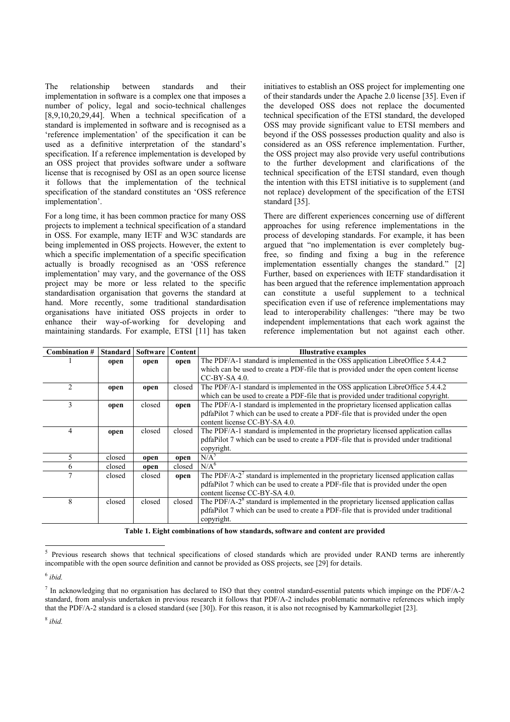The relationship between standards and their implementation in software is a complex one that imposes a number of policy, legal and socio-technical challenges  $[8,9,10,20,29,44]$ . When a technical specification of a standard is implemented in software and is recognised as a 'reference implementation' of the specification it can be used as a definitive interpretation of the standard's specification. If a reference implementation is developed by an OSS project that provides software under a software license that is recognised by OSI as an open source license it follows that the implementation of the technical specification of the standard constitutes an 'OSS reference implementation'.

For a long time, it has been common practice for many OSS projects to implement a technical specification of a standard in OSS. For example, many IETF and W3C standards are being implemented in OSS projects. However, the extent to which a specific implementation of a specific specification actually is broadly recognised as an 'OSS reference implementation' may vary, and the governance of the OSS project may be more or less related to the specific standardisation organisation that governs the standard at hand. More recently, some traditional standardisation organisations have initiated OSS projects in order to enhance their way-of-working for developing and maintaining standards. For example, ETSI [11] has taken

initiatives to establish an OSS project for implementing one of their standards under the Apache 2.0 license [35]. Even if the developed OSS does not replace the documented technical specification of the ETSI standard, the developed OSS may provide significant value to ETSI members and beyond if the OSS possesses production quality and also is considered as an OSS reference implementation. Further, the OSS project may also provide very useful contributions to the further development and clarifications of the technical specification of the ETSI standard, even though the intention with this ETSI initiative is to supplement (and not replace) development of the specification of the ETSI standard [35].

There are different experiences concerning use of different approaches for using reference implementations in the process of developing standards. For example, it has been argued that "no implementation is ever completely bugfree, so finding and fixing a bug in the reference implementation essentially changes the standard." [2] Further, based on experiences with IETF standardisation it has been argued that the reference implementation approach can constitute a useful supplement to a technical specification even if use of reference implementations may lead to interoperability challenges: "there may be two independent implementations that each work against the reference implementation but not against each other.

| Combination #  | <b>Standard</b> | Software | Content | Illustrative examples                                                                   |
|----------------|-----------------|----------|---------|-----------------------------------------------------------------------------------------|
|                | open            | open     | open    | The PDF/A-1 standard is implemented in the OSS application LibreOffice 5.4.4.2          |
|                |                 |          |         | which can be used to create a PDF-file that is provided under the open content license  |
|                |                 |          |         | $CC-BY-SA 4.0.$                                                                         |
| $\mathfrak{D}$ | open            | open     | closed  | The PDF/A-1 standard is implemented in the OSS application LibreOffice 5.4.4.2          |
|                |                 |          |         | which can be used to create a PDF-file that is provided under traditional copyright.    |
| 3              | open            | closed   | open    | The PDF/A-1 standard is implemented in the proprietary licensed application callas      |
|                |                 |          |         | pdfaPilot 7 which can be used to create a PDF-file that is provided under the open      |
|                |                 |          |         | content license CC-BY-SA 4.0.                                                           |
| 4              | open            | closed   | closed  | The PDF/A-1 standard is implemented in the proprietary licensed application callas      |
|                |                 |          |         | pdfaPilot 7 which can be used to create a PDF-file that is provided under traditional   |
|                |                 |          |         | copyright.                                                                              |
| 5              | closed          | open     | open    | $N/A^5$                                                                                 |
| 6              | closed          | open     | closed  | $N/A^6$                                                                                 |
|                | closed          | closed   | open    | The PDF/A- $27$ standard is implemented in the proprietary licensed application callas  |
|                |                 |          |         | pdfaPilot 7 which can be used to create a PDF-file that is provided under the open      |
|                |                 |          |         | content license CC-BY-SA 4.0.                                                           |
| 8              | closed          | closed   | closed  | The PDF/A-2 $^8$ standard is implemented in the proprietary licensed application callas |
|                |                 |          |         | pdfaPilot 7 which can be used to create a PDF-file that is provided under traditional   |
|                |                 |          |         | copyright.                                                                              |

**Table 1. Eight combinations of how standards, software and content are provided**

 $\overline{a}$ 

Previous research shows that technical specifications of closed standards which are provided under RAND terms are inherently incompatible with the open source definition and cannot be provided as OSS projects, see [29] for details.

<sup>6</sup> *ibid.*

 $^7$  In acknowledging that no organisation has declared to ISO that they control standard-essential patents which impinge on the PDF/A-2 standard, from analysis undertaken in previous research it follows that PDF/A-2 includes problematic normative references which imply that the PDF/A-2 standard is a closed standard (see [30]). For this reason, it is also not recognised by Kammarkollegiet [23].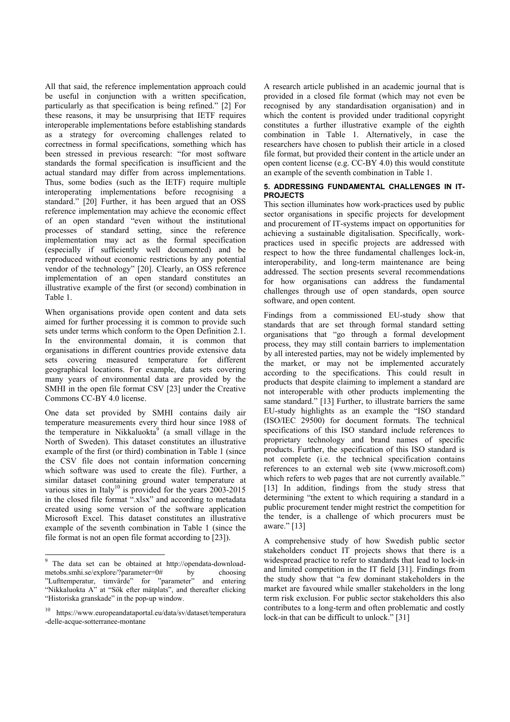All that said, the reference implementation approach could be useful in conjunction with a written specification, particularly as that specification is being refined." [2] For these reasons, it may be unsurprising that IETF requires interoperable implementations before establishing standards as a strategy for overcoming challenges related to correctness in formal specifications, something which has been stressed in previous research: "for most software standards the formal specification is insufficient and the actual standard may differ from across implementations. Thus, some bodies (such as the IETF) require multiple interoperating implementations before recognising a standard." [20] Further, it has been argued that an OSS reference implementation may achieve the economic effect of an open standard "even without the institutional processes of standard setting, since the reference implementation may act as the formal specification (especially if sufficiently well documented) and be reproduced without economic restrictions by any potential vendor of the technology" [20]. Clearly, an OSS reference implementation of an open standard constitutes an illustrative example of the first (or second) combination in Table 1.

When organisations provide open content and data sets aimed for further processing it is common to provide such sets under terms which conform to the Open Definition 2.1. In the environmental domain, it is common that organisations in different countries provide extensive data sets covering measured temperature for different geographical locations. For example, data sets covering many years of environmental data are provided by the SMHI in the open file format CSV [23] under the Creative Commons CC-BY 4.0 license.

One data set provided by SMHI contains daily air temperature measurements every third hour since 1988 of the temperature in Nikkaluokta<sup>9</sup> (a small village in the North of Sweden). This dataset constitutes an illustrative example of the first (or third) combination in Table 1 (since the CSV file does not contain information concerning which software was used to create the file). Further, a similar dataset containing ground water temperature at various sites in Italy<sup>10</sup> is provided for the years  $2003-2015$ in the closed file format ".xlsx" and according to metadata created using some version of the software application Microsoft Excel. This dataset constitutes an illustrative example of the seventh combination in Table 1 (since the file format is not an open file format according to [23]).

1

A research article published in an academic journal that is provided in a closed file format (which may not even be recognised by any standardisation organisation) and in which the content is provided under traditional copyright constitutes a further illustrative example of the eighth combination in Table 1. Alternatively, in case the researchers have chosen to publish their article in a closed file format, but provided their content in the article under an open content license (e.g. CC-BY 4.0) this would constitute an example of the seventh combination in Table 1.

# **5. ADDRESSING FUNDAMENTAL CHALLENGES IN IT-PROJECTS**

This section illuminates how work-practices used by public sector organisations in specific projects for development and procurement of IT-systems impact on opportunities for achieving a sustainable digitalisation. Specifically, workpractices used in specific projects are addressed with respect to how the three fundamental challenges lock-in, interoperability, and long-term maintenance are being addressed. The section presents several recommendations for how organisations can address the fundamental challenges through use of open standards, open source software, and open content.

Findings from a commissioned EU-study show that standards that are set through formal standard setting organisations that "go through a formal development process, they may still contain barriers to implementation by all interested parties, may not be widely implemented by the market, or may not be implemented accurately according to the specifications. This could result in products that despite claiming to implement a standard are not interoperable with other products implementing the same standard." [13] Further, to illustrate barriers the same EU-study highlights as an example the "ISO standard (ISO/IEC 29500) for document formats. The technical specifications of this ISO standard include references to proprietary technology and brand names of specific products. Further, the specification of this ISO standard is not complete (i.e. the technical specification contains references to an external web site (www.microsoft.com) which refers to web pages that are not currently available." [13] In addition, findings from the study stress that determining "the extent to which requiring a standard in a public procurement tender might restrict the competition for the tender, is a challenge of which procurers must be aware." [13]

A comprehensive study of how Swedish public sector stakeholders conduct IT projects shows that there is a widespread practice to refer to standards that lead to lock-in and limited competition in the IT field [31]. Findings from the study show that "a few dominant stakeholders in the market are favoured while smaller stakeholders in the long term risk exclusion. For public sector stakeholders this also contributes to a long-term and often problematic and costly lock-in that can be difficult to unlock." [31]

<sup>9</sup> The data set can be obtained at http://opendata-downloadmetobs.smhi.se/explore/?parameter=0# by choosing "Lufttemperatur, timvärde" for "parameter" and entering "Nikkaluokta A" at "Sök efter mätplats", and thereafter clicking "Historiska granskade" in the pop-up window.

<sup>10</sup> https://www.europeandataportal.eu/data/sv/dataset/temperatura -delle-acque-sotterranee-montane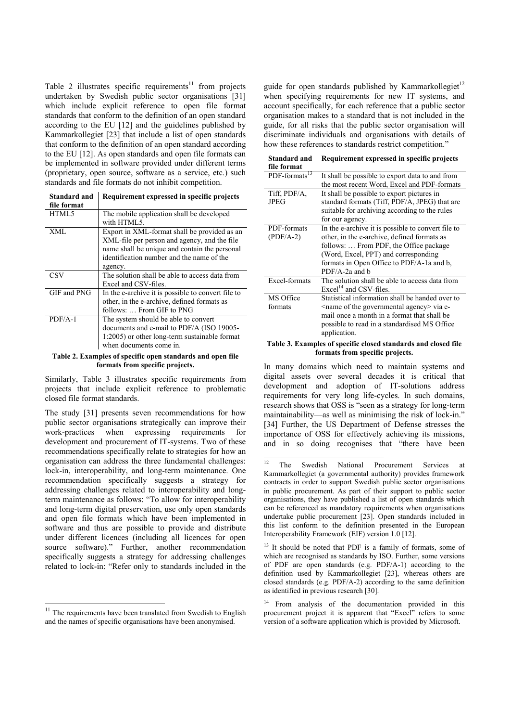Table 2 illustrates specific requirements<sup>11</sup> from projects undertaken by Swedish public sector organisations [31] which include explicit reference to open file format standards that conform to the definition of an open standard according to the EU [12] and the guidelines published by Kammarkollegiet [23] that include a list of open standards that conform to the definition of an open standard according to the EU [12]. As open standards and open file formats can be implemented in software provided under different terms (proprietary, open source, software as a service, etc.) such standards and file formats do not inhibit competition.

| Standard and<br>file format | Requirement expressed in specific projects                                                                                                                                                            |
|-----------------------------|-------------------------------------------------------------------------------------------------------------------------------------------------------------------------------------------------------|
| HTML5                       | The mobile application shall be developed<br>with HTML5.                                                                                                                                              |
| XML                         | Export in XML-format shall be provided as an<br>XML-file per person and agency, and the file<br>name shall be unique and contain the personal<br>identification number and the name of the<br>agency. |
| CSV                         | The solution shall be able to access data from<br>Excel and CSV-files.                                                                                                                                |
| GIF and PNG                 | In the e-archive it is possible to convert file to<br>other, in the e-archive, defined formats as<br>follows:  From GIF to PNG                                                                        |
| $PDF/A-1$                   | The system should be able to convert<br>documents and e-mail to PDF/A (ISO 19005-<br>1:2005) or other long-term sustainable format<br>when documents come in.                                         |

**Table 2. Examples of specific open standards and open file formats from specific projects.** 

Similarly, Table 3 illustrates specific requirements from projects that include explicit reference to problematic closed file format standards.

The study [31] presents seven recommendations for how public sector organisations strategically can improve their work-practices when expressing requirements for development and procurement of IT-systems. Two of these recommendations specifically relate to strategies for how an organisation can address the three fundamental challenges: lock-in, interoperability, and long-term maintenance. One recommendation specifically suggests a strategy for addressing challenges related to interoperability and longterm maintenance as follows: "To allow for interoperability and long-term digital preservation, use only open standards and open file formats which have been implemented in software and thus are possible to provide and distribute under different licences (including all licences for open source software)." Further, another recommendation specifically suggests a strategy for addressing challenges related to lock-in: "Refer only to standards included in the

 $11$  The requirements have been translated from Swedish to English and the names of specific organisations have been anonymised.

 $\overline{a}$ 

guide for open standards published by Kammarkollegiet<sup>12</sup> when specifying requirements for new IT systems, and account specifically, for each reference that a public sector organisation makes to a standard that is not included in the guide, for all risks that the public sector organisation will discriminate individuals and organisations with details of how these references to standards restrict competition."

| Standard and              | Requirement expressed in specific projects         |
|---------------------------|----------------------------------------------------|
| file format               |                                                    |
| PDF-formats <sup>13</sup> | It shall be possible to export data to and from    |
|                           | the most recent Word, Excel and PDF-formats        |
| Tiff, PDF/A,              | It shall be possible to export pictures in         |
| JPEG                      | standard formats (Tiff, PDF/A, JPEG) that are      |
|                           | suitable for archiving according to the rules      |
|                           | for our agency.                                    |
| PDF-formats               | In the e-archive it is possible to convert file to |
| $(PDF/A-2)$               | other, in the e-archive, defined formats as        |
|                           | follows:  From PDF, the Office package             |
|                           | (Word, Excel, PPT) and corresponding               |
|                           | formats in Open Office to PDF/A-1a and b,          |
|                           | $PDF/A-2a$ and b                                   |
| Excel-formats             | The solution shall be able to access data from     |
|                           | $\text{Excel}^{14}$ and CSV-files.                 |
| MS Office                 | Statistical information shall be handed over to    |
| formats                   | $\le$ name of the governmental agency $\ge$ via e- |
|                           | mail once a month in a format that shall be        |
|                           | possible to read in a standardised MS Office       |
|                           | application.                                       |

#### **Table 3. Examples of specific closed standards and closed file formats from specific projects.**

In many domains which need to maintain systems and digital assets over several decades it is critical that development and adoption of IT-solutions address requirements for very long life-cycles. In such domains, research shows that OSS is "seen as a strategy for long-term maintainability—as well as minimising the risk of lock-in." [34] Further, the US Department of Defense stresses the importance of OSS for effectively achieving its missions, and in so doing recognises that "there have been

 $12$ The Swedish National Procurement Services at Kammarkollegiet (a governmental authority) provides framework contracts in order to support Swedish public sector organisations in public procurement. As part of their support to public sector organisations, they have published a list of open standards which can be referenced as mandatory requirements when organisations undertake public procurement [23]. Open standards included in this list conform to the definition presented in the European Interoperability Framework (EIF) version 1.0 [12].

<sup>&</sup>lt;sup>13</sup> It should be noted that PDF is a family of formats, some of which are recognised as standards by ISO. Further, some versions of PDF are open standards (e.g. PDF/A-1) according to the definition used by Kammarkollegiet [23], whereas others are closed standards (e.g. PDF/A-2) according to the same definition as identified in previous research [30].

<sup>14</sup> From analysis of the documentation provided in this procurement project it is apparent that "Excel" refers to some version of a software application which is provided by Microsoft.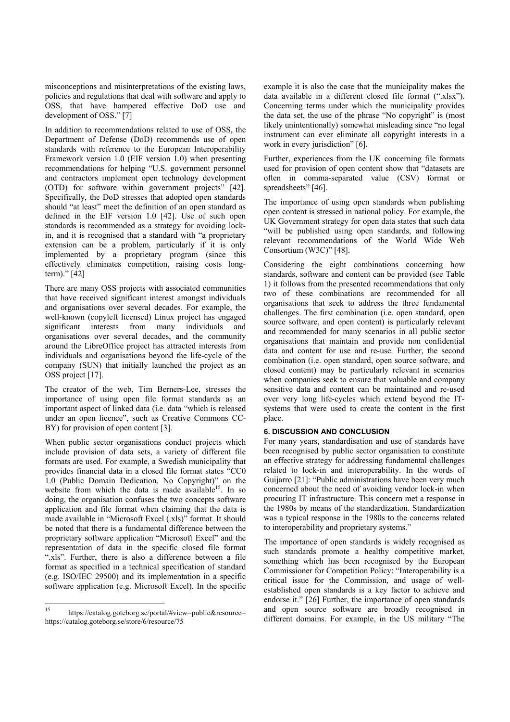misconceptions and misinterpretations of the existing laws, policies and regulations that deal with software and apply to OSS, that have hampered effective DoD use and development of OSS." [7]

In addition to recommendations related to use of OSS, the Department of Defense (DoD) recommends use of open standards with reference to the European Interoperability Framework version 1.0 (EIF version 1.0) when presenting recommendations for helping "U.S. government personnel and contractors implement open technology development (OTD) for software within government projects" [42]. Specifically, the DoD stresses that adopted open standards should "at least" meet the definition of an open standard as defined in the EIF version 1.0 [42]. Use of such open standards is recommended as a strategy for avoiding lockin, and it is recognised that a standard with "a proprietary extension can be a problem, particularly if it is only implemented by a proprietary program (since this effectively eliminates competition, raising costs longterm)." [42]

There are many OSS projects with associated communities that have received significant interest amongst individuals and organisations over several decades. For example, the well-known (copyleft licensed) Linux project has engaged significant interests from many individuals and organisations over several decades, and the community around the LibreOffice project has attracted interests from individuals and organisations beyond the life-cycle of the company (SUN) that initially launched the project as an OSS project [17].

The creator of the web, Tim Berners-Lee, stresses the importance of using open file format standards as an important aspect of linked data (i.e. data "which is released under an open licence", such as Creative Commons CC-BY) for provision of open content [3].

When public sector organisations conduct projects which include provision of data sets, a variety of different file formats are used. For example, a Swedish municipality that provides financial data in a closed file format states "CC0 1.0 (Public Domain Dedication, No Copyright)" on the website from which the data is made available<sup>15</sup>. In so doing, the organisation confuses the two concepts software application and file format when claiming that the data is made available in "Microsoft Excel (.xls)" format. It should be noted that there is a fundamental difference between the proprietary software application "Microsoft Excel" and the representation of data in the specific closed file format ".xls". Further, there is also a difference between a file format as specified in a technical specification of standard (e.g. ISO/IEC 29500) and its implementation in a specific software application (e.g. Microsoft Excel). In the specific

example it is also the case that the municipality makes the data available in a different closed file format (".xlsx"). Concerning terms under which the municipality provides the data set, the use of the phrase "No copyright" is (most likely unintentionally) somewhat misleading since "no legal instrument can ever eliminate all copyright interests in a work in every jurisdiction" [6].

Further, experiences from the UK concerning file formats used for provision of open content show that "datasets are often in comma-separated value (CSV) format or spreadsheets" [46].

The importance of using open standards when publishing open content is stressed in national policy. For example, the UK Government strategy for open data states that such data "will be published using open standards, and following relevant recommendations of the World Wide Web Consortium (W3C)" [48].

Considering the eight combinations concerning how standards, software and content can be provided (see Table 1) it follows from the presented recommendations that only two of these combinations are recommended for all organisations that seek to address the three fundamental challenges. The first combination (i.e. open standard, open source software, and open content) is particularly relevant and recommended for many scenarios in all public sector organisations that maintain and provide non confidential data and content for use and re-use. Further, the second combination (i.e. open standard, open source software, and closed content) may be particularly relevant in scenarios when companies seek to ensure that valuable and company sensitive data and content can be maintained and re-used over very long life-cycles which extend beyond the ITsystems that were used to create the content in the first place.

## **6. DISCUSSION AND CONCLUSION**

For many years, standardisation and use of standards have been recognised by public sector organisation to constitute an effective strategy for addressing fundamental challenges related to lock-in and interoperability. In the words of Guijarro [21]: "Public administrations have been very much concerned about the need of avoiding vendor lock-in when procuring IT infrastructure. This concern met a response in the 1980s by means of the standardization. Standardization was a typical response in the 1980s to the concerns related to interoperability and proprietary systems."

The importance of open standards is widely recognised as such standards promote a healthy competitive market. something which has been recognised by the European Commissioner for Competition Policy: "Interoperability is a critical issue for the Commission, and usage of wellestablished open standards is a key factor to achieve and endorse it." [26] Further, the importance of open standards and open source software are broadly recognised in different domains. For example, in the US military "The

 $15$ https://catalog.goteborg.se/portal/#view=public&resource= https://catalog.goteborg.se/store/6/resource/75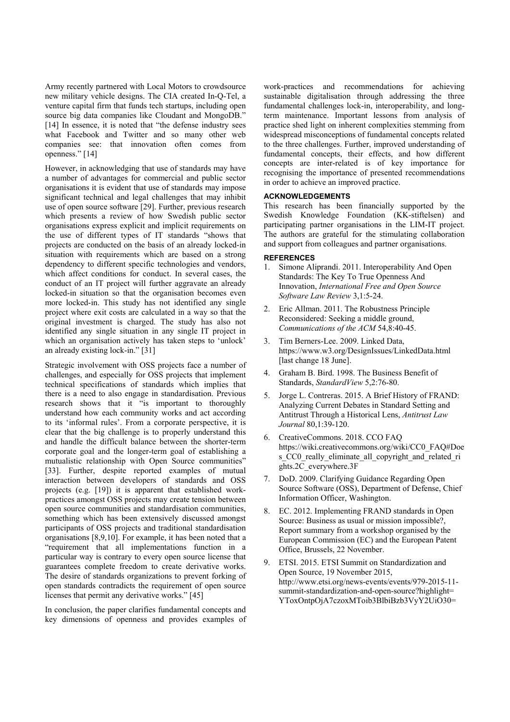Army recently partnered with Local Motors to crowdsource new military vehicle designs. The CIA created In-Q-Tel, a venture capital firm that funds tech startups, including open source big data companies like Cloudant and MongoDB." [14] In essence, it is noted that "the defense industry sees what Facebook and Twitter and so many other web companies see: that innovation often comes from openness." [14]

However, in acknowledging that use of standards may have a number of advantages for commercial and public sector organisations it is evident that use of standards may impose significant technical and legal challenges that may inhibit use of open source software [29]. Further, previous research which presents a review of how Swedish public sector organisations express explicit and implicit requirements on the use of different types of IT standards "shows that projects are conducted on the basis of an already locked-in situation with requirements which are based on a strong dependency to different specific technologies and vendors, which affect conditions for conduct. In several cases, the conduct of an IT project will further aggravate an already locked-in situation so that the organisation becomes even more locked-in. This study has not identified any single project where exit costs are calculated in a way so that the original investment is charged. The study has also not identified any single situation in any single IT project in which an organisation actively has taken steps to 'unlock' an already existing lock-in." [31]

Strategic involvement with OSS projects face a number of challenges, and especially for OSS projects that implement technical specifications of standards which implies that there is a need to also engage in standardisation. Previous research shows that it "is important to thoroughly understand how each community works and act according to its 'informal rules'. From a corporate perspective, it is clear that the big challenge is to properly understand this and handle the difficult balance between the shorter-term corporate goal and the longer-term goal of establishing a mutualistic relationship with Open Source communities" [33]. Further, despite reported examples of mutual interaction between developers of standards and OSS projects (e.g. [19]) it is apparent that established workpractices amongst OSS projects may create tension between open source communities and standardisation communities, something which has been extensively discussed amongst participants of OSS projects and traditional standardisation organisations [8,9,10]. For example, it has been noted that a "requirement that all implementations function in a particular way is contrary to every open source license that guarantees complete freedom to create derivative works. The desire of standards organizations to prevent forking of open standards contradicts the requirement of open source licenses that permit any derivative works." [45]

In conclusion, the paper clarifies fundamental concepts and key dimensions of openness and provides examples of work-practices and recommendations for achieving sustainable digitalisation through addressing the three fundamental challenges lock-in, interoperability, and longterm maintenance. Important lessons from analysis of practice shed light on inherent complexities stemming from widespread misconceptions of fundamental concepts related to the three challenges. Further, improved understanding of fundamental concepts, their effects, and how different concepts are inter-related is of key importance for recognising the importance of presented recommendations in order to achieve an improved practice.

## **ACKNOWLEDGEMENTS**

This research has been financially supported by the Swedish Knowledge Foundation (KK-stiftelsen) and participating partner organisations in the LIM-IT project. The authors are grateful for the stimulating collaboration and support from colleagues and partner organisations.

## **REFERENCES**

- Simone Aliprandi. 2011. Interoperability And Open Standards: The Key To True Openness And Innovation, *International Free and Open Source Software Law Review* 3,1:5-24.
- 2. Eric Allman. 2011. The Robustness Principle Reconsidered: Seeking a middle ground, *Communications of the ACM* 54,8:40-45.
- 3. Tim Berners-Lee. 2009. Linked Data, https://www.w3.org/DesignIssues/LinkedData.html [last change 18 June].
- 4. Graham B. Bird. 1998. The Business Benefit of Standards, *StandardView* 5,2:76-80.
- 5. Jorge L. Contreras. 2015. A Brief History of FRAND: Analyzing Current Debates in Standard Setting and Antitrust Through a Historical Lens, *Antitrust Law Journal* 80,1:39-120.
- 6. CreativeCommons. 2018. CCO FAQ https://wiki.creativecommons.org/wiki/CC0\_FAQ#Doe s CC0 really eliminate all copyright and related ri ghts.2C\_everywhere.3F
- 7. DoD. 2009. Clarifying Guidance Regarding Open Source Software (OSS), Department of Defense, Chief Information Officer, Washington.
- 8. EC. 2012. Implementing FRAND standards in Open Source: Business as usual or mission impossible?, Report summary from a workshop organised by the European Commission (EC) and the European Patent Office, Brussels, 22 November.
- 9. ETSI. 2015. ETSI Summit on Standardization and Open Source, 19 November 2015, http://www.etsi.org/news-events/events/979-2015-11 summit-standardization-and-open-source?highlight= YToxOntpOjA7czoxMToib3BlbiBzb3VyY2UiO30=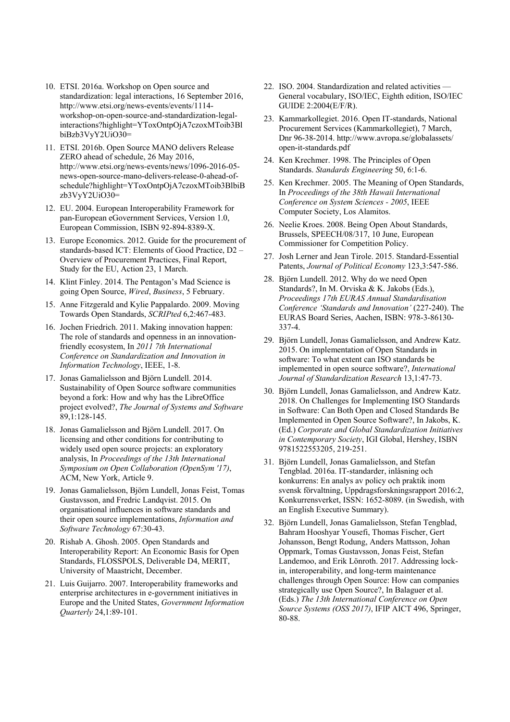- 10. ETSI. 2016a. Workshop on Open source and standardization: legal interactions, 16 September 2016, http://www.etsi.org/news-events/events/1114 workshop-on-open-source-and-standardization-legalinteractions?highlight=YToxOntpOjA7czoxMToib3Bl biBzb3VyY2UiO30=
- 11. ETSI. 2016b. Open Source MANO delivers Release ZERO ahead of schedule, 26 May 2016, http://www.etsi.org/news-events/news/1096-2016-05 news-open-source-mano-delivers-release-0-ahead-ofschedule?highlight=YToxOntpOjA7czoxMToib3BlbiB zb3VyY2UiO30=
- 12. EU. 2004. European Interoperability Framework for pan-European eGovernment Services, Version 1.0, European Commission, ISBN 92-894-8389-X.
- 13. Europe Economics. 2012. Guide for the procurement of standards-based ICT: Elements of Good Practice, D2 – Overview of Procurement Practices, Final Report, Study for the EU, Action 23, 1 March.
- 14. Klint Finley. 2014. The Pentagon's Mad Science is going Open Source, *Wired*, *Business*, 5 February.
- 15. Anne Fitzgerald and Kylie Pappalardo. 2009. Moving Towards Open Standards, *SCRIPted* 6,2:467-483.
- 16. Jochen Friedrich. 2011. Making innovation happen: The role of standards and openness in an innovationfriendly ecosystem, In *2011 7th International Conference on Standardization and Innovation in Information Technology*, IEEE, 1-8.
- 17. Jonas Gamalielsson and Björn Lundell. 2014. Sustainability of Open Source software communities beyond a fork: How and why has the LibreOffice project evolved?, *The Journal of Systems and Software* 89,1:128-145.
- 18. Jonas Gamalielsson and Björn Lundell. 2017. On licensing and other conditions for contributing to widely used open source projects: an exploratory analysis, In *Proceedings of the 13th International Symposium on Open Collaboration (OpenSym '17)*, ACM, New York, Article 9.
- 19. Jonas Gamalielsson, Björn Lundell, Jonas Feist, Tomas Gustavsson, and Fredric Landqvist. 2015. On organisational influences in software standards and their open source implementations, *Information and Software Technology* 67:30-43.
- 20. Rishab A. Ghosh. 2005. Open Standards and Interoperability Report: An Economic Basis for Open Standards, FLOSSPOLS, Deliverable D4, MERIT, University of Maastricht, December.
- 21. Luis Guijarro. 2007. Interoperability frameworks and enterprise architectures in e-government initiatives in Europe and the United States, *Government Information Quarterly* 24,1:89-101.
- 22. ISO. 2004. Standardization and related activities General vocabulary, ISO/IEC, Eighth edition, ISO/IEC GUIDE 2:2004(E/F/R).
- 23. Kammarkollegiet. 2016. Open IT-standards, National Procurement Services (Kammarkollegiet), 7 March, Dnr 96-38-2014. http://www.avropa.se/globalassets/ open-it-standards.pdf
- 24. Ken Krechmer. 1998. The Principles of Open Standards. *Standards Engineering* 50, 6:1-6.
- 25. Ken Krechmer. 2005. The Meaning of Open Standards, In *Proceedings of the 38th Hawaii International Conference on System Sciences - 2005*, IEEE Computer Society, Los Alamitos.
- 26. Neelie Kroes. 2008. Being Open About Standards, Brussels, SPEECH/08/317, 10 June, European Commissioner for Competition Policy.
- 27. Josh Lerner and Jean Tirole. 2015. Standard-Essential Patents, *Journal of Political Economy* 123,3:547-586.
- 28. Björn Lundell. 2012. Why do we need Open Standards?, In M. Orviska & K. Jakobs (Eds.), *Proceedings 17th EURAS Annual Standardisation Conference 'Standards and Innovation'* (227-240). The EURAS Board Series, Aachen, ISBN: 978-3-86130- 337-4.
- 29. Björn Lundell, Jonas Gamalielsson, and Andrew Katz. 2015. On implementation of Open Standards in software: To what extent can ISO standards be implemented in open source software?, *International Journal of Standardization Research* 13,1:47-73.
- 30. Björn Lundell, Jonas Gamalielsson, and Andrew Katz. 2018. On Challenges for Implementing ISO Standards in Software: Can Both Open and Closed Standards Be Implemented in Open Source Software?, In Jakobs, K. (Ed.) *Corporate and Global Standardization Initiatives in Contemporary Society*, IGI Global, Hershey, ISBN 9781522553205, 219-251.
- 31. Björn Lundell, Jonas Gamalielsson, and Stefan Tengblad. 2016a. IT-standarder, inlåsning och konkurrens: En analys av policy och praktik inom svensk förvaltning, Uppdragsforskningsrapport 2016:2, Konkurrensverket, ISSN: 1652-8089. (in Swedish, with an English Executive Summary).
- 32. Björn Lundell, Jonas Gamalielsson, Stefan Tengblad, Bahram Hooshyar Yousefi, Thomas Fischer, Gert Johansson, Bengt Rodung, Anders Mattsson, Johan Oppmark, Tomas Gustavsson, Jonas Feist, Stefan Landemoo, and Erik Lönroth. 2017. Addressing lockin, interoperability, and long-term maintenance challenges through Open Source: How can companies strategically use Open Source?, In Balaguer et al. (Eds.) *The 13th International Conference on Open Source Systems (OSS 2017)*, IFIP AICT 496, Springer, 80-88.